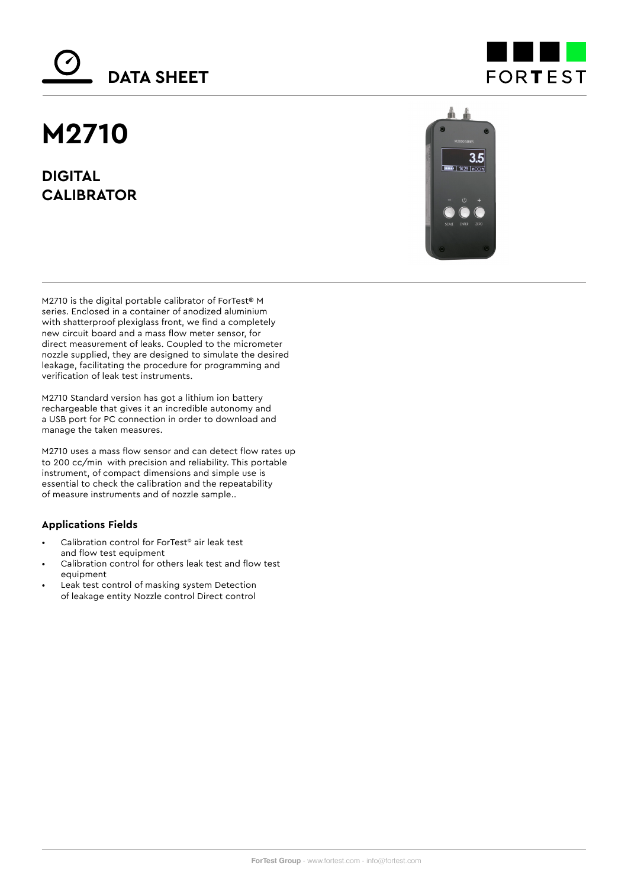# **DATA SHEET**

## **M2710**

**DIGITAL CALIBRATOR**





M2710 is the digital portable calibrator of ForTest® M series. Enclosed in a container of anodized aluminium with shatterproof plexiglass front, we find a completely new circuit board and a mass flow meter sensor, for direct measurement of leaks. Coupled to the micrometer nozzle supplied, they are designed to simulate the desired leakage, facilitating the procedure for programming and verification of leak test instruments.

M2710 Standard version has got a lithium ion battery rechargeable that gives it an incredible autonomy and a USB port for PC connection in order to download and manage the taken measures.

M2710 uses a mass flow sensor and can detect flow rates up to 200 cc/min with precision and reliability. This portable instrument, of compact dimensions and simple use is essential to check the calibration and the repeatability of measure instruments and of nozzle sample..

### **Applications Fields**

- Calibration control for ForTest© air leak test and flow test equipment
- Calibration control for others leak test and flow test equipment
- Leak test control of masking system Detection of leakage entity Nozzle control Direct control